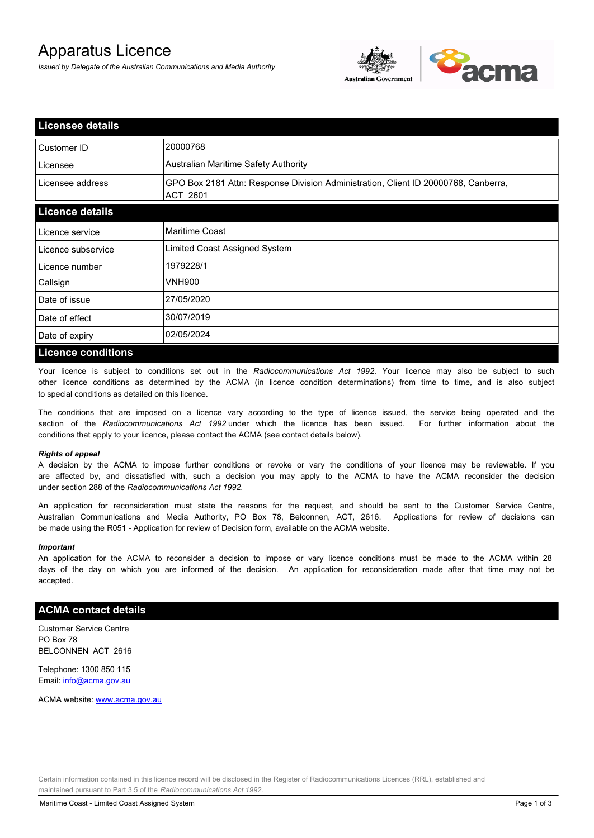# Apparatus Licence

*Issued by Delegate of the Australian Communications and Media Authority*



| <b>Licensee details</b>   |                                                                                                |
|---------------------------|------------------------------------------------------------------------------------------------|
| Customer ID               | 20000768                                                                                       |
| Licensee                  | Australian Maritime Safety Authority                                                           |
| Licensee address          | GPO Box 2181 Attn: Response Division Administration, Client ID 20000768, Canberra,<br>ACT 2601 |
| <b>Licence details</b>    |                                                                                                |
| Licence service           | Maritime Coast                                                                                 |
| Licence subservice        | Limited Coast Assigned System                                                                  |
| Licence number            | 1979228/1                                                                                      |
| Callsign                  | VNH900                                                                                         |
| Date of issue             | 27/05/2020                                                                                     |
| Date of effect            | 30/07/2019                                                                                     |
| Date of expiry            | 02/05/2024                                                                                     |
| <b>Licence conditions</b> |                                                                                                |

Your licence is subject to conditions set out in the *Radiocommunications Act 1992*. Your licence may also be subject to such other licence conditions as determined by the ACMA (in licence condition determinations) from time to time, and is also subject to special conditions as detailed on this licence.

The conditions that are imposed on a licence vary according to the type of licence issued, the service being operated and the section of the *Radiocommunications Act 1992* under which the licence has been issued. For further information about the conditions that apply to your licence, please contact the ACMA (see contact details below).

#### *Rights of appeal*

A decision by the ACMA to impose further conditions or revoke or vary the conditions of your licence may be reviewable. If you are affected by, and dissatisfied with, such a decision you may apply to the ACMA to have the ACMA reconsider the decision under section 288 of the *Radiocommunications Act 1992*.

An application for reconsideration must state the reasons for the request, and should be sent to the Customer Service Centre, Australian Communications and Media Authority, PO Box 78, Belconnen, ACT, 2616. Applications for review of decisions can be made using the R051 - Application for review of Decision form, available on the ACMA website.

#### *Important*

An application for the ACMA to reconsider a decision to impose or vary licence conditions must be made to the ACMA within 28 days of the day on which you are informed of the decision. An application for reconsideration made after that time may not be accepted.

### **ACMA contact details**

Customer Service Centre PO Box 78 BELCONNEN ACT 2616

Telephone: 1300 850 115 Email: info@acma.gov.au

ACMA website: www.acma.gov.au

Certain information contained in this licence record will be disclosed in the Register of Radiocommunications Licences (RRL), established and maintained pursuant to Part 3.5 of the *Radiocommunications Act 1992.*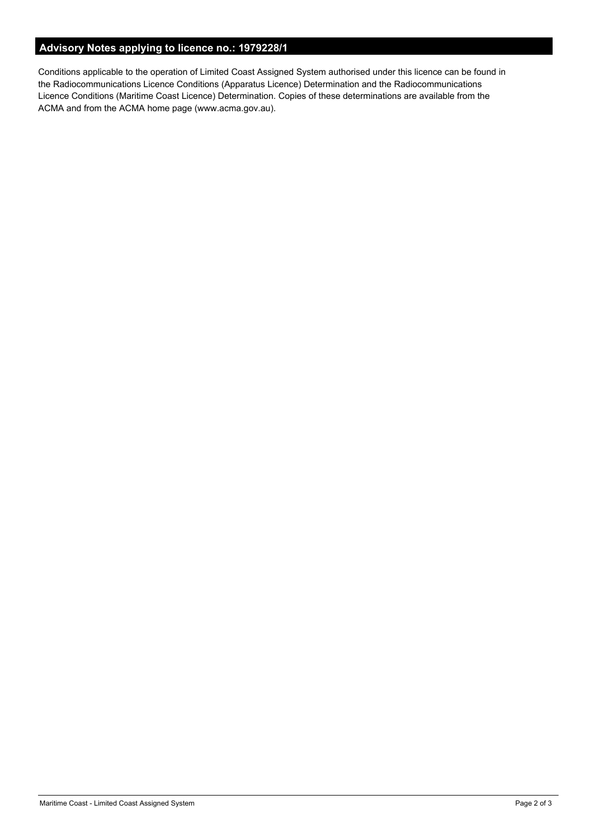# **Advisory Notes applying to licence no.: 1979228/1**

Conditions applicable to the operation of Limited Coast Assigned System authorised under this licence can be found in the Radiocommunications Licence Conditions (Apparatus Licence) Determination and the Radiocommunications Licence Conditions (Maritime Coast Licence) Determination. Copies of these determinations are available from the ACMA and from the ACMA home page (www.acma.gov.au).